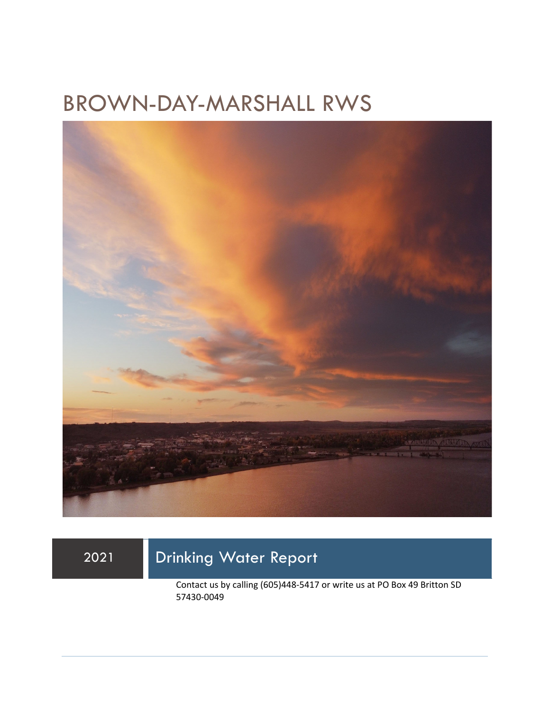## BROWN-DAY-MARSHALL RWS



### 2021 Drinking Water Report

Contact us by calling (605)448-5417 or write us at PO Box 49 Britton SD 57430-0049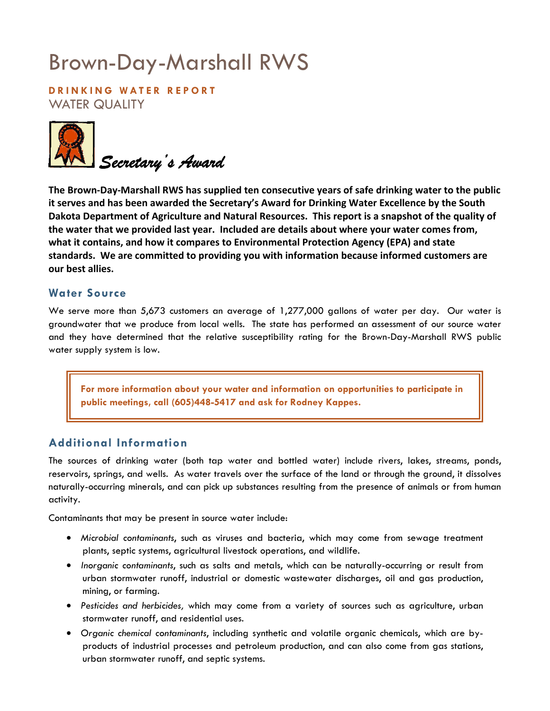# Brown-Day-Marshall RWS

**DRINKING WATER REPORT**  WATER QUALITY



**The Brown-Day-Marshall RWS has supplied ten consecutive years of safe drinking water to the public it serves and has been awarded the Secretary's Award for Drinking Water Excellence by the South Dakota Department of Agriculture and Natural Resources. This report is a snapshot of the quality of the water that we provided last year. Included are details about where your water comes from, what it contains, and how it compares to Environmental Protection Agency (EPA) and state standards. We are committed to providing you with information because informed customers are our best allies.** 

#### **Water Source**

We serve more than 5,673 customers an average of 1,277,000 gallons of water per day. Our water is groundwater that we produce from local wells. The state has performed an assessment of our source water and they have determined that the relative susceptibility rating for the Brown-Day-Marshall RWS public water supply system is low.

**For more information about your water and information on opportunities to participate in public meetings, call (605)448-5417 and ask for Rodney Kappes.** 

#### **Additional Information**

The sources of drinking water (both tap water and bottled water) include rivers, lakes, streams, ponds, reservoirs, springs, and wells. As water travels over the surface of the land or through the ground, it dissolves naturally-occurring minerals, and can pick up substances resulting from the presence of animals or from human activity.

Contaminants that may be present in source water include:

- *Microbial contaminants*, such as viruses and bacteria, which may come from sewage treatment plants, septic systems, agricultural livestock operations, and wildlife.
- *Inorganic contaminants*, such as salts and metals, which can be naturally-occurring or result from urban stormwater runoff, industrial or domestic wastewater discharges, oil and gas production, mining, or farming.
- *Pesticides and herbicides,* which may come from a variety of sources such as agriculture, urban stormwater runoff, and residential uses.
- *Organic chemical contaminants*, including synthetic and volatile organic chemicals, which are byproducts of industrial processes and petroleum production, and can also come from gas stations, urban stormwater runoff, and septic systems.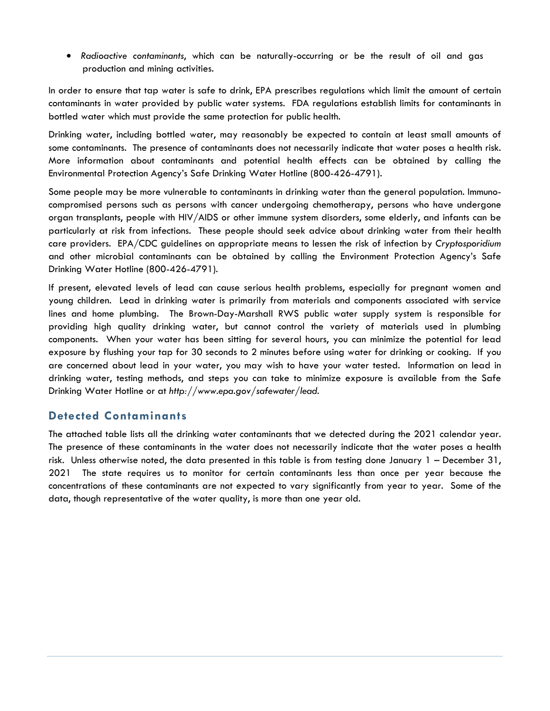• *Radioactive contaminants*, which can be naturally-occurring or be the result of oil and gas production and mining activities.

In order to ensure that tap water is safe to drink, EPA prescribes regulations which limit the amount of certain contaminants in water provided by public water systems. FDA regulations establish limits for contaminants in bottled water which must provide the same protection for public health.

Drinking water, including bottled water, may reasonably be expected to contain at least small amounts of some contaminants. The presence of contaminants does not necessarily indicate that water poses a health risk. More information about contaminants and potential health effects can be obtained by calling the Environmental Protection Agency's Safe Drinking Water Hotline (800-426-4791).

Some people may be more vulnerable to contaminants in drinking water than the general population. Immunocompromised persons such as persons with cancer undergoing chemotherapy, persons who have undergone organ transplants, people with HIV/AIDS or other immune system disorders, some elderly, and infants can be particularly at risk from infections. These people should seek advice about drinking water from their health care providers. EPA/CDC guidelines on appropriate means to lessen the risk of infection by *Cryptosporidium* and other microbial contaminants can be obtained by calling the Environment Protection Agency's Safe Drinking Water Hotline (800-426-4791).

If present, elevated levels of lead can cause serious health problems, especially for pregnant women and young children. Lead in drinking water is primarily from materials and components associated with service lines and home plumbing. The Brown-Day-Marshall RWS public water supply system is responsible for providing high quality drinking water, but cannot control the variety of materials used in plumbing components. When your water has been sitting for several hours, you can minimize the potential for lead exposure by flushing your tap for 30 seconds to 2 minutes before using water for drinking or cooking. If you are concerned about lead in your water, you may wish to have your water tested. Information on lead in drinking water, testing methods, and steps you can take to minimize exposure is available from the Safe Drinking Water Hotline or at *http://www.epa.gov/safewater/lead*.

#### **Detected Contaminants**

The attached table lists all the drinking water contaminants that we detected during the 2021 calendar year. The presence of these contaminants in the water does not necessarily indicate that the water poses a health risk. Unless otherwise noted, the data presented in this table is from testing done January 1 – December 31, 2021 The state requires us to monitor for certain contaminants less than once per year because the concentrations of these contaminants are not expected to vary significantly from year to year. Some of the data, though representative of the water quality, is more than one year old.